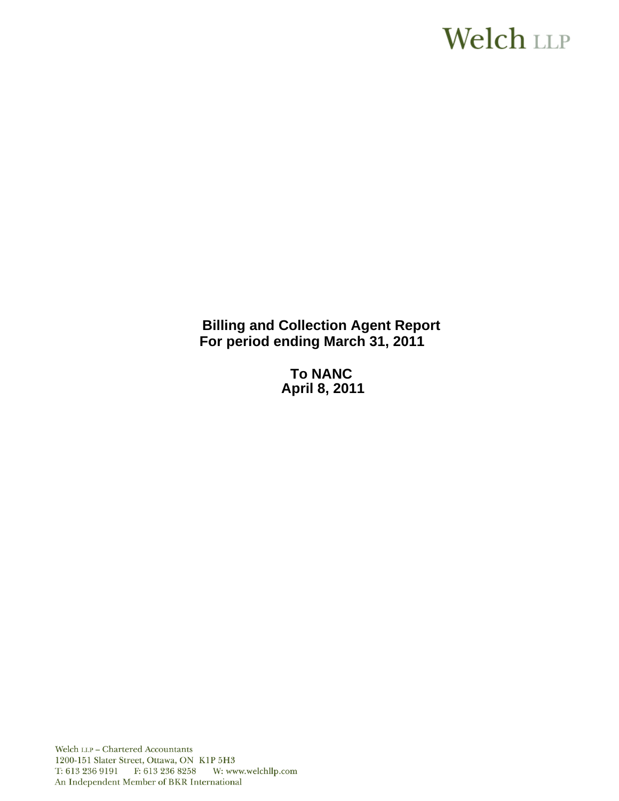# **Welch LLP**

**Billing and Collection Agent Report For period ending March 31, 2011** 

> **To NANC April 8, 2011**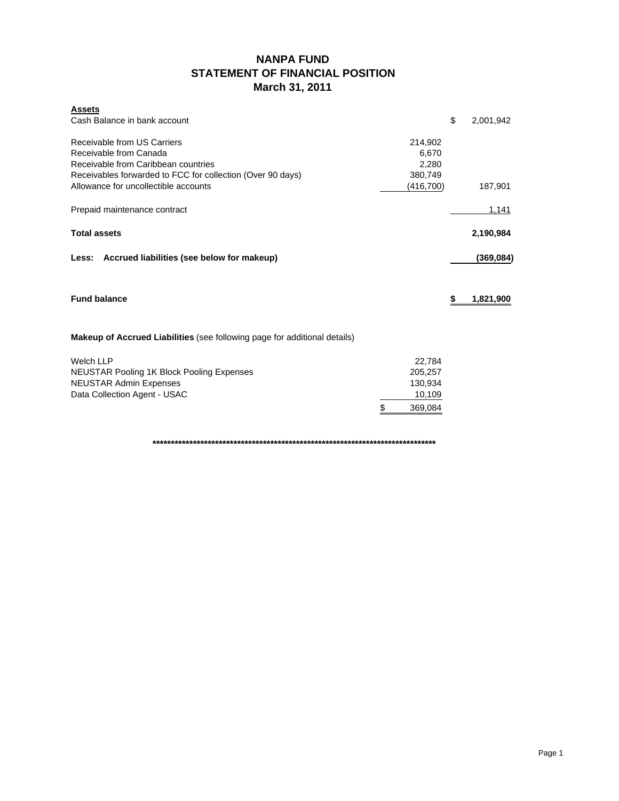# **NANPA FUND STATEMENT OF FINANCIAL POSITION March 31, 2011**

| <b>Assets</b><br>Cash Balance in bank account                                                                                                              |               | \$ | 2,001,942    |
|------------------------------------------------------------------------------------------------------------------------------------------------------------|---------------|----|--------------|
| Receivable from US Carriers<br>Receivable from Canada<br>Receivable from Caribbean countries<br>Receivables forwarded to FCC for collection (Over 90 days) |               |    |              |
| Allowance for uncollectible accounts                                                                                                                       | (416,700)     |    | 187,901      |
| Prepaid maintenance contract                                                                                                                               |               |    | <u>1,141</u> |
| <b>Total assets</b>                                                                                                                                        |               |    | 2,190,984    |
| Less: Accrued liabilities (see below for makeup)                                                                                                           |               |    | (369, 084)   |
| <b>Fund balance</b>                                                                                                                                        |               | S  | 1,821,900    |
| Makeup of Accrued Liabilities (see following page for additional details)                                                                                  |               |    |              |
| <b>Welch LLP</b>                                                                                                                                           | 22,784        |    |              |
| <b>NEUSTAR Pooling 1K Block Pooling Expenses</b>                                                                                                           | 205,257       |    |              |
| <b>NEUSTAR Admin Expenses</b>                                                                                                                              | 130,934       |    |              |
| Data Collection Agent - USAC                                                                                                                               | 10,109        |    |              |
|                                                                                                                                                            | \$<br>369,084 |    |              |

**\*\*\*\*\*\*\*\*\*\*\*\*\*\*\*\*\*\*\*\*\*\*\*\*\*\*\*\*\*\*\*\*\*\*\*\*\*\*\*\*\*\*\*\*\*\*\*\*\*\*\*\*\*\*\*\*\*\*\*\*\*\*\*\*\*\*\*\*\*\*\*\*\*\*\*\*\***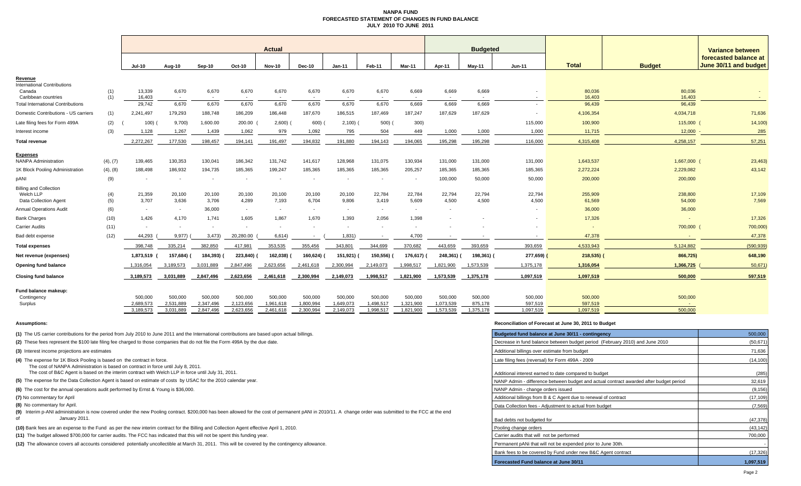#### **NANPA FUND FORECASTED STATEMENT OF CHANGES IN FUND BALANCEJULY 2010 TO JUNE 2011**

|                                                                            |            | <b>Actual</b>    |                          |                          |                 |                          |                 |                 |                          |                                   |                          | <b>Budgeted</b>                   |                          |                          |                   | Variance between                               |  |
|----------------------------------------------------------------------------|------------|------------------|--------------------------|--------------------------|-----------------|--------------------------|-----------------|-----------------|--------------------------|-----------------------------------|--------------------------|-----------------------------------|--------------------------|--------------------------|-------------------|------------------------------------------------|--|
|                                                                            |            | <b>Jul-10</b>    | Aug-10                   | Sep-10                   | Oct-10          | <b>Nov-10</b>            | Dec-10          | $Jan-11$        | Feb-11                   | <b>Mar-11</b>                     | Apr-11                   | Mav-11                            | $Jun-11$                 | <b>Total</b>             | <b>Budget</b>     | forecasted balance at<br>June 30/11 and budget |  |
| Revenue                                                                    |            |                  |                          |                          |                 |                          |                 |                 |                          |                                   |                          |                                   |                          |                          |                   |                                                |  |
| <b>International Contributions</b><br>Canada<br>Caribbean countries        | (1)<br>(1) | 13,339<br>16,403 | 6,670<br>$\sim$          | 6,670<br>$\sim$          | 6,670           | 6,670<br>$\sim$          | 6,670           | 6,670           | 6,670<br>$\sim$          | 6,669<br>$\overline{\phantom{a}}$ | 6,669<br>$\sim$          | 6,669<br>$\overline{\phantom{a}}$ |                          | 80,036<br>16,403         | 80,036<br>16,403  |                                                |  |
| <b>Total International Contributions</b>                                   |            | 29.742           | 6,670                    | 6,670                    | 6,670           | 6,670                    | 6,670           | 6,670           | 6,670                    | 6,669                             | 6.669                    | 6.669                             |                          | 96.439                   | 96.439            |                                                |  |
| Domestic Contributions - US carriers                                       | (1)        | 2,241,497        | 179,293                  | 188,748                  | 186,209         | 186,448                  | 187,670         | 186,515         | 187,469                  | 187,247                           | 187,629                  | 187,629                           |                          | 4,106,354                | 4,034,718         | 71,636                                         |  |
| Late filing fees for Form 499A                                             | (2)        | 100)             | 9,700                    | 1,600.00                 | 200.00          | 2,600                    | 600)            | 2,100           | 500)                     | 300)                              |                          |                                   | 115,000                  | 100,900                  | 115,000           | 14,100                                         |  |
| nterest income                                                             | (3)        | 1,128            | 1,267                    | 1,439                    | 1,062           | 979                      | 1,092           | 795             | 504                      | 449                               | 1,000                    | 1,000                             | 1,000                    | 11,715                   | 12,000            | 285                                            |  |
| <b>Total revenue</b>                                                       |            | 2,272,267        | 177,530                  | 198,457                  | 194.141         | 191.497                  | 194,832         | 191,880         | 194.143                  | 194,065                           | 195.298                  | 195,298                           | 116,000                  | 4,315,408                | 4,258,157         | 57,251                                         |  |
| Expenses                                                                   |            |                  |                          |                          |                 |                          |                 |                 |                          |                                   |                          |                                   |                          |                          |                   |                                                |  |
| <b>NANPA Administration</b>                                                | (4), (7)   | 139,465          | 130,353                  | 130,041                  | 186,342         | 131,742                  | 141,617         | 128,968         | 131,075                  | 130,934                           | 131,000                  | 131,000                           | 131,000                  | 1,643,537                | 1,667,000         | 23,463)                                        |  |
| 1K Block Pooling Administration                                            | (4), (8)   | 188,498          | 186,932                  | 194,735                  | 185,365         | 199,247                  | 185,365         | 185,365         | 185,365                  | 205,257                           | 185,365                  | 185,365                           | 185,365                  | 2,272,224                | 2,229,082         | 43,142                                         |  |
| pANI                                                                       | (9)        |                  | $\overline{\phantom{a}}$ |                          |                 | $\overline{\phantom{a}}$ |                 |                 | $\overline{\phantom{a}}$ | $\sim$                            | 100,000                  | 50,000                            | 50,000                   | 200,000                  | 200,000           |                                                |  |
| <b>Billing and Collection</b><br>Welch LLP<br><b>Data Collection Agent</b> | (4)<br>(5) | 21,359<br>3.707  | 20,100<br>3,636          | 20,100<br>3.706          | 20,100<br>4,289 | 20,100<br>7,193          | 20,100<br>6,704 | 20,100<br>9,806 | 22,784<br>3,419          | 22,784<br>5,609                   | 22,794<br>4.500          | 22,794<br>4,500                   | 22,794<br>4,500          | 255,909<br>61,569        | 238,800<br>54,000 | 17,109<br>7,569                                |  |
| <b>Annual Operations Audit</b>                                             | (6)        |                  | $\sim$                   | 36,000                   | $\sim$          | $\sim$                   |                 | $\sim$          | $\sim$                   | $\overline{\phantom{a}}$          | $\overline{\phantom{a}}$ |                                   |                          | 36,000                   | 36,000            |                                                |  |
| <b>Bank Charges</b>                                                        | (10)       | 1,426            | 4,170                    | 1,741                    | 1,605           | 1,867                    | 1,670           | 1,393           | 2,056                    | 1,398                             |                          |                                   |                          | 17,326                   | $\sim$            | 17,326                                         |  |
| <b>Carrier Audits</b>                                                      | (11)       |                  | $\overline{\phantom{a}}$ | $\overline{\phantom{a}}$ |                 | $\overline{\phantom{a}}$ |                 |                 | $\overline{\phantom{a}}$ |                                   |                          |                                   |                          | $\overline{\phantom{a}}$ | 700,000           | 700,000)                                       |  |
| Bad debt expense                                                           | (12)       | 44,293           | 9,977)                   | 3,473                    | 20,280.00       | 6,614)                   |                 | 1,831)          | $\sim$ $-$               | 4,700                             |                          |                                   | $\overline{\phantom{a}}$ | 47,378                   |                   | 47,378                                         |  |
| <b>Total expenses</b>                                                      |            | 398,748          | 335.214                  | 382,850                  | 417,981         | 353,535                  | 355,456         | 343,801         | 344,699                  | 370,682                           | 443,659                  | 393,659                           | 393,659                  | 4,533,943                | 5,124,882         | (590,939                                       |  |
| Net revenue (expenses)                                                     |            | 1,873,519        | 157,684) (               | 184,393)                 | 223,840)        | 162,038)                 | 160,624)        | 151,921) (      | 150,556)                 | 176,617)                          | 248,361)                 | 198,361) (                        | 277,659)                 | $218,535$ )              | 866,725)          | 648,190                                        |  |
| Opening fund balance                                                       |            | 1,316,054        | 3,189,573                | 3,031,889                | 2,847,496       | 2,623,656                | 2,461,618       | 2,300,994       | 2,149,073                | 1,998,517                         | 1,821,900                | 1,573,539                         | 1,375,178                | 1,316,054                | 1,366,725         | 50,671                                         |  |
| <b>Closing fund balance</b>                                                |            | 3,189,573        | 3,031,889                | 2,847,496                | 2,623,656       | 2,461,618                | 2,300,994       | 2,149,073       | 1,998,517                | 1,821,900                         | 1,573,539                | 1,375,178                         | 1,097,519                | 1,097,519                | 500,000           | 597,519                                        |  |
| Fund balance makeup:<br>Contingency                                        |            | 500,000          | 500.000                  | 500,000                  | 500,000         | 500,000                  | 500,000         | 500,000         | 500,000                  | 500,000                           | 500,000                  | 500,000                           | 500,000                  | 500,000                  | 500,000           |                                                |  |
| Surplus                                                                    |            | 2.689.573        | 2,531,889                | 2.347.496                | 2,123,656       | 1,961,618                | 1.800.994       | 1.649.073       | 1.498.517                | 1,321,900                         | 1,073,539                | 875,178                           | 597.519                  | 597.519                  | $\sim$            |                                                |  |
|                                                                            |            | 3.189.573        | 3.031.889                | 2.847.496                | 2.623.656       | 2.461.618                | 2.300.994       | 2.149.073       | 1.998.517                | 1.821.900                         | 1.573.539                | 1.375.178                         | 1.097.519                | 1.097.519                | 500,000           |                                                |  |

#### **Assumptions: Reconciliation of Forecast at June 30, 2011 to Budget**

| (1) The US carrier contributions for the period from July 2010 to June 2011 and the International contributions are based upon actual billings.                                                                           | Budgeted fund balance at June 30/11 - contingency                                      | 500,000   |
|---------------------------------------------------------------------------------------------------------------------------------------------------------------------------------------------------------------------------|----------------------------------------------------------------------------------------|-----------|
| (2) These fees represent the \$100 late filing fee charged to those companies that do not file the Form 499A by the due date.                                                                                             | Decrease in fund balance between budget period (February 2010) and June 2010           | (50, 671) |
| (3) Interest income projections are estimates                                                                                                                                                                             | Additional billings over estimate from budget                                          | 71,636    |
| (4) The expense for 1K Block Pooling is based on the contract in force.<br>The cost of NANPA Administration is based on contract in force until July 8, 2011.                                                             | Late filing fees (reversal) for Form 499A - 2009                                       | (14, 100) |
| The cost of B&C Agent is based on the interim contract with Welch LLP in force until July 31, 2011.                                                                                                                       | Additional interest earned to date compared to budget                                  | (285)     |
| (5) The expense for the Data Collection Agent is based on estimate of costs by USAC for the 2010 calendar year.                                                                                                           | NANP Admin - difference between budget and actual contract awarded after budget period | 32,619    |
| (6) The cost for the annual operations audit performed by Ernst & Young is \$36,000.                                                                                                                                      | NANP Admin - change orders issued                                                      | (9, 156)  |
| (7) No commentary for April                                                                                                                                                                                               | Additional billings from B & C Agent due to renewal of contract                        | (17, 109) |
| (8) No commentary for April.                                                                                                                                                                                              | Data Collection fees - Adiustment to actual from budget                                | (7, 569)  |
| (9) Interim p-ANI administration is now covered under the new Pooling contract. \$200,000 has been allowed for the cost of permanent pANI in 2010/11. A change order was submitted to the FCC at the end<br>January 2011. | Bad debts not budgeted for                                                             | (47, 378) |
| (10) Bank fees are an expense to the Fund as per the new interim contract for the Billing and Collection Agent effective April 1, 2010.                                                                                   | Pooling change orders                                                                  | (43, 142) |
| (11) The budget allowed \$700,000 for carrier audits. The FCC has indicated that this will not be spent this funding year.                                                                                                | Carrier audits that will not be performed                                              | 700,000   |
| (12) The allowance covers all accounts considered potentially uncollectible at March 31, 2011. This will be covered by the contingency allowance.                                                                         | Permanent pANi that will not be expended prior to June 30th.                           |           |
|                                                                                                                                                                                                                           | Bank fees to be covered by Fund under new B&C Agent contract                           | (17, 326) |
|                                                                                                                                                                                                                           | Forecasted Fund balance at June 30/11                                                  | 1,097,519 |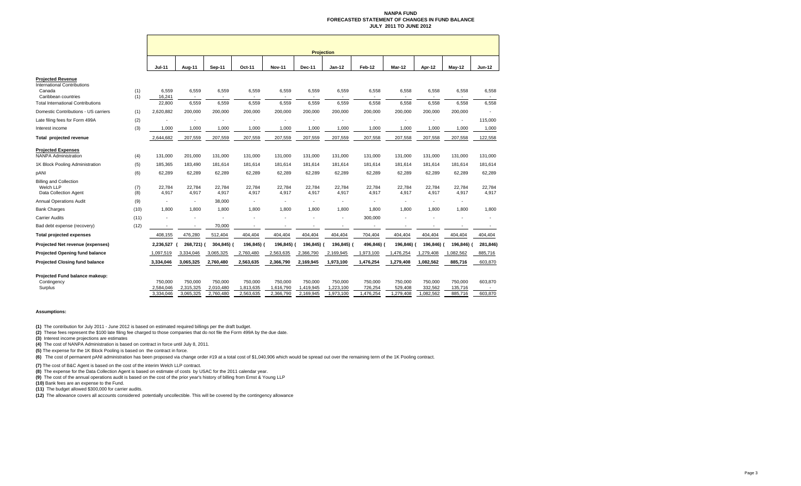#### **NANPA FUND FORECASTED STATEMENT OF CHANGES IN FUND BALANCEJULY 2011 TO JUNE 2012**

|                                                                                                                                             |            | <b>Projection</b>                 |                                   |                                   |                                   |                                   |                                   |                                   |                                 |                                |                                 |                               |                    |
|---------------------------------------------------------------------------------------------------------------------------------------------|------------|-----------------------------------|-----------------------------------|-----------------------------------|-----------------------------------|-----------------------------------|-----------------------------------|-----------------------------------|---------------------------------|--------------------------------|---------------------------------|-------------------------------|--------------------|
|                                                                                                                                             |            | <b>Jul-11</b>                     | Aug-11                            | Sep-11                            | Oct-11                            | <b>Nov-11</b>                     | Dec-11                            | Jan-12                            | Feb-12                          | Mar-12                         | Apr-12                          | May-12                        | <b>Jun-12</b>      |
| <b>Projected Revenue</b><br><b>International Contributions</b><br>Canada<br>Caribbean countries<br><b>Total International Contributions</b> | (1)<br>(1) | 6,559<br>16,241<br>22,800         | 6,559<br>$\blacksquare$<br>6,559  | 6,559<br>6,559                    | 6,559<br>$\sim$<br>6,559          | 6,559<br>6,559                    | 6,559<br>6,559                    | 6,559<br>6,559                    | 6,558<br>6,558                  | 6,558<br>6,558                 | 6,558<br>6,558                  | 6,558<br>6,558                | 6,558<br>6,558     |
| Domestic Contributions - US carriers                                                                                                        | (1)        | 2,620,882                         | 200,000                           | 200,000                           | 200,000                           | 200,000                           | 200,000                           | 200,000                           | 200,000                         | 200,000                        | 200,000                         | 200,000                       |                    |
| Late filing fees for Form 499A                                                                                                              | (2)        |                                   |                                   |                                   |                                   |                                   |                                   |                                   |                                 |                                |                                 | ٠                             | 115,000            |
| Interest income                                                                                                                             | (3)        | 1,000                             | 1,000                             | 1,000                             | 1,000                             | 1,000                             | 1,000                             | 1,000                             | 1,000                           | 1,000                          | 1,000                           | 1,000                         | 1,000              |
| Total projected revenue                                                                                                                     |            | 2,644,682                         | 207,559                           | 207,559                           | 207,559                           | 207,559                           | 207,559                           | 207,559                           | 207,558                         | 207,558                        | 207,558                         | 207,558                       | 122,558            |
| <b>Projected Expenses</b><br><b>NANPA Administration</b>                                                                                    | (4)        | 131,000                           | 201,000                           | 131,000                           | 131,000                           | 131,000                           | 131,000                           | 131,000                           | 131,000                         | 131,000                        | 131,000                         | 131,000                       | 131,000            |
| 1K Block Pooling Administration                                                                                                             | (5)        | 185,365                           | 183,490                           | 181,614                           | 181,614                           | 181,614                           | 181,614                           | 181,614                           | 181,614                         | 181,614                        | 181,614                         | 181,614                       | 181,614            |
| pANI                                                                                                                                        | (6)        | 62,289                            | 62,289                            | 62,289                            | 62,289                            | 62,289                            | 62,289                            | 62,289                            | 62,289                          | 62,289                         | 62,289                          | 62,289                        | 62,289             |
| <b>Billing and Collection</b><br>Welch LLP<br><b>Data Collection Agent</b>                                                                  | (7)<br>(8) | 22,784<br>4,917                   | 22,784<br>4,917                   | 22,784<br>4,917                   | 22,784<br>4,917                   | 22,784<br>4,917                   | 22,784<br>4,917                   | 22,784<br>4,917                   | 22,784<br>4,917                 | 22,784<br>4,917                | 22,784<br>4,917                 | 22,784<br>4,917               | 22,784<br>4,917    |
| <b>Annual Operations Audit</b>                                                                                                              | (9)        | ٠                                 | ٠                                 | 38,000                            | $\ddot{\phantom{1}}$              | ٠                                 | $\sim$                            |                                   | ٠                               | ٠                              |                                 | ٠                             |                    |
| <b>Bank Charges</b>                                                                                                                         | (10)       | 1.800                             | 1.800                             | 1,800                             | 1,800                             | 1,800                             | 1,800                             | 1.800                             | 1,800                           | 1,800                          | 1.800                           | 1,800                         | 1.800              |
| <b>Carrier Audits</b>                                                                                                                       | (11)       |                                   |                                   |                                   |                                   |                                   |                                   |                                   | 300,000                         |                                |                                 |                               | ٠                  |
| Bad debt expense (recovery)                                                                                                                 | (12)       | ٠                                 | $\blacksquare$                    | 70,000                            | $\blacksquare$                    | $\blacksquare$                    |                                   |                                   | $\blacksquare$                  | $\overline{\phantom{a}}$       | $\overline{\phantom{a}}$        | ٠                             |                    |
| <b>Total projected expenses</b>                                                                                                             |            | 408,155                           | 476,280                           | 512,404                           | 404,404                           | 404,404                           | 404,404                           | 404,404                           | 704,404                         | 404,404                        | 404,404                         | 404,404                       | 404,404            |
| Projected Net revenue (expenses)                                                                                                            |            | 2,236,527                         | 268,721) (                        | 304,845) (                        | 196,845)                          | 196,845)                          | 196,845) (                        | 196,845) (                        | 496,846)                        | 196,846) (                     | 196,846)                        | 196,846)                      | 281,846)           |
| Projected Opening fund balance                                                                                                              |            | 1,097,519                         | 3,334,046                         | 3,065,325                         | 2,760,480                         | 2,563,635                         | 2,366,790                         | 2,169,945                         | 1,973,100                       | 1,476,254                      | 1,279,408                       | 1,082,562                     | 885,716            |
| <b>Projected Closing fund balance</b>                                                                                                       |            | 3,334,046                         | 3,065,325                         | 2,760,480                         | 2,563,635                         | 2,366,790                         | 2,169,945                         | 1,973,100                         | 1,476,254                       | 1,279,408                      | 1,082,562                       | 885,716                       | 603,870            |
| Projected Fund balance makeup:                                                                                                              |            |                                   |                                   |                                   |                                   |                                   |                                   |                                   |                                 |                                |                                 |                               |                    |
| Contingency<br>Surplus                                                                                                                      |            | 750,000<br>2,584,046<br>3.334.046 | 750,000<br>2,315,325<br>3.065.325 | 750,000<br>2,010,480<br>2.760.480 | 750,000<br>1,813,635<br>2,563,635 | 750,000<br>1,616,790<br>2,366,790 | 750,000<br>1,419,945<br>2,169,945 | 750,000<br>1,223,100<br>1,973,100 | 750,000<br>726,254<br>1,476,254 | 750,000<br>529,408<br>,279,408 | 750,000<br>332,562<br>1.082.562 | 750,000<br>135,716<br>885.716 | 603,870<br>603,870 |

#### **Assumptions:**

**(1)** The contribution for July 2011 - June 2012 is based on estimated required billings per the draft budget.

**(2)** These fees represent the \$100 late filing fee charged to those companies that do not file the Form 499A by the due date.

**(3)** Interest income projections are estimates

**(4)** The cost of NANPA Administration is based on contract in force until July 8, 2011.

**(5)** The expense for the 1K Block Pooling is based on the contract in force.

<sup>(6)</sup> The cost of permanent pANI administration has been proposed via change order #19 at a total cost of \$1,040,906 which would be spread out over the remaining term of the 1K Pooling contract.

**(7)** The cost of B&C Agent is based on the cost of the interim Welch LLP contract.<br>**(8)** The expense for the Data Collection Agent is based on estimate of costs by USAC for the 2011 calendar year.

**(9)** The cost of the annual operations audit is based on the cost of the prior year's history of billing from Ernst & Young LLP

**(10)** Bank fees are an expense to the Fund.

**(11)** The budget allowed \$300,000 for carrier audits.

**(12)** The allowance covers all accounts considered potentially uncollectible. This will be covered by the contingency allowance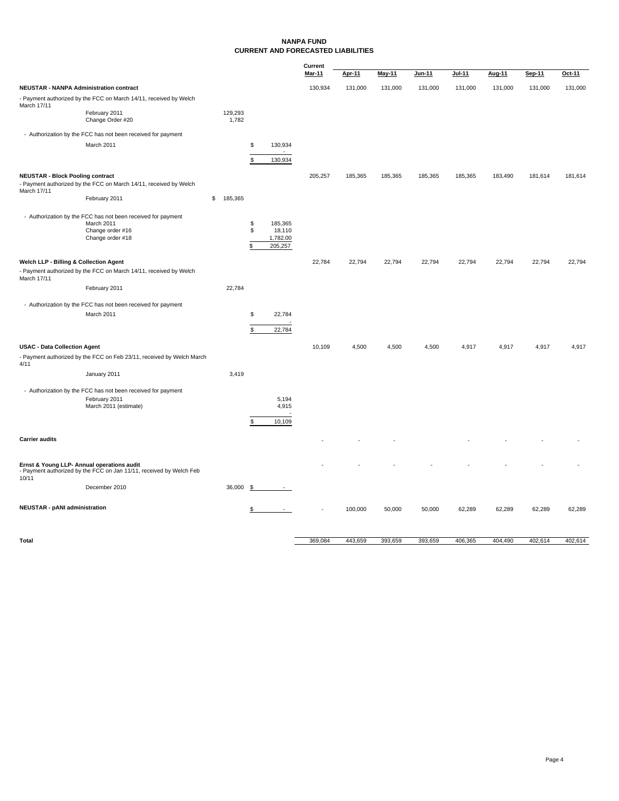#### **NANPA FUND CURRENT AND FORECASTED LIABILITIES**

|                                                        |                                                                                                                    |                  |                |                                          | Current       |               |               |         |         |               |         |         |
|--------------------------------------------------------|--------------------------------------------------------------------------------------------------------------------|------------------|----------------|------------------------------------------|---------------|---------------|---------------|---------|---------|---------------|---------|---------|
|                                                        |                                                                                                                    |                  |                |                                          | <b>Mar-11</b> | <b>Apr-11</b> | <b>May-11</b> | Jun-11  | Jul-11  | <b>Aug-11</b> | Sep-11  | Oct-11  |
|                                                        | <b>NEUSTAR - NANPA Administration contract</b>                                                                     |                  |                |                                          | 130,934       | 131,000       | 131,000       | 131,000 | 131,000 | 131,000       | 131,000 | 131,000 |
|                                                        | - Payment authorized by the FCC on March 14/11, received by Welch                                                  |                  |                |                                          |               |               |               |         |         |               |         |         |
| March 17/11                                            | February 2011<br>Change Order #20                                                                                  | 129,293<br>1,782 |                |                                          |               |               |               |         |         |               |         |         |
|                                                        | - Authorization by the FCC has not been received for payment                                                       |                  |                |                                          |               |               |               |         |         |               |         |         |
|                                                        | March 2011                                                                                                         |                  | \$             | 130,934                                  |               |               |               |         |         |               |         |         |
|                                                        |                                                                                                                    |                  | \$             | 130,934                                  |               |               |               |         |         |               |         |         |
|                                                        |                                                                                                                    |                  |                |                                          |               |               |               |         |         |               |         |         |
| <b>NEUSTAR - Block Pooling contract</b><br>March 17/11 | - Payment authorized by the FCC on March 14/11, received by Welch                                                  |                  |                |                                          | 205,257       | 185,365       | 185,365       | 185,365 | 185,365 | 183,490       | 181,614 | 181,614 |
|                                                        | February 2011                                                                                                      | \$<br>185,365    |                |                                          |               |               |               |         |         |               |         |         |
|                                                        | - Authorization by the FCC has not been received for payment<br>March 2011<br>Change order #16<br>Change order #18 |                  | \$<br>\$<br>\$ | 185,365<br>18,110<br>1,782.00<br>205,257 |               |               |               |         |         |               |         |         |
| Welch LLP - Billing & Collection Agent                 |                                                                                                                    |                  |                |                                          | 22,784        | 22,794        | 22,794        | 22,794  | 22,794  | 22,794        | 22,794  | 22,794  |
| March 17/11                                            | - Payment authorized by the FCC on March 14/11, received by Welch                                                  |                  |                |                                          |               |               |               |         |         |               |         |         |
|                                                        | February 2011                                                                                                      | 22,784           |                |                                          |               |               |               |         |         |               |         |         |
|                                                        | - Authorization by the FCC has not been received for payment                                                       |                  |                |                                          |               |               |               |         |         |               |         |         |
|                                                        | March 2011                                                                                                         |                  | \$             | 22,784                                   |               |               |               |         |         |               |         |         |
|                                                        |                                                                                                                    |                  | \$             | 22,784                                   |               |               |               |         |         |               |         |         |
| <b>USAC - Data Collection Agent</b>                    |                                                                                                                    |                  |                |                                          | 10,109        | 4,500         | 4,500         | 4,500   | 4,917   | 4,917         | 4,917   | 4,917   |
| 4/11                                                   | - Payment authorized by the FCC on Feb 23/11, received by Welch March                                              |                  |                |                                          |               |               |               |         |         |               |         |         |
|                                                        | January 2011                                                                                                       | 3,419            |                |                                          |               |               |               |         |         |               |         |         |
|                                                        | - Authorization by the FCC has not been received for payment<br>February 2011<br>March 2011 (estimate)             |                  | \$             | 5,194<br>4,915<br>10,109                 |               |               |               |         |         |               |         |         |
| <b>Carrier audits</b>                                  |                                                                                                                    |                  |                |                                          |               |               |               |         |         |               |         |         |
|                                                        |                                                                                                                    |                  |                |                                          |               |               |               |         |         |               |         |         |
| 10/11                                                  | Ernst & Young LLP- Annual operations audit<br>- Payment authorized by the FCC on Jan 11/11, received by Welch Feb  |                  |                |                                          |               |               |               |         |         |               |         |         |
|                                                        | December 2010                                                                                                      | 36,000           | -\$            |                                          |               |               |               |         |         |               |         |         |
| <b>NEUSTAR - pANI administration</b>                   |                                                                                                                    |                  | \$             | $\sim$                                   |               | 100,000       | 50,000        | 50,000  | 62,289  | 62,289        | 62,289  | 62,289  |
|                                                        |                                                                                                                    |                  |                |                                          |               |               |               |         |         |               |         |         |

**Total** 404,490 402,614 369,084 443,659 393,659 393,659 406,365 404,490 402,614 402,614